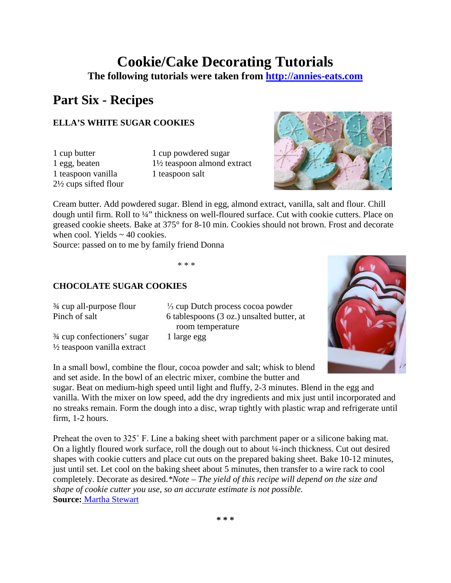# **Cookie/Cake Decorating Tutorials The following tutorials were taken from [http://annies-eats.com](http://annies-eats.com/)**

## **Part Six - Recipes**

### **ELLA'S WHITE SUGAR COOKIES**

1 teaspoon vanilla 1 teaspoon salt 2½ cups sifted flour

1 cup butter 1 cup powdered sugar 1 egg, beaten 1½ teaspoon almond extract



Cream butter. Add powdered sugar. Blend in egg, almond extract, vanilla, salt and flour. Chill dough until firm. Roll to ¼" thickness on well-floured surface. Cut with cookie cutters. Place on greased cookie sheets. Bake at 375° for 8-10 min. Cookies should not brown. Frost and decorate when cool. Yields  $\sim$  40 cookies.

Source: passed on to me by family friend Donna

\* \* \*

#### **CHOCOLATE SUGAR COOKIES**

 $\frac{3}{4}$  cup confectioners' sugar 1 large egg ½ teaspoon vanilla extract

¾ cup all-purpose flour ⅓ cup Dutch process cocoa powder Pinch of salt 6 tablespoons (3 oz.) unsalted butter, at room temperature



In a small bowl, combine the flour, cocoa powder and salt; whisk to blend and set aside. In the bowl of an electric mixer, combine the butter and

sugar. Beat on medium-high speed until light and fluffy, 2-3 minutes. Blend in the egg and vanilla. With the mixer on low speed, add the dry ingredients and mix just until incorporated and no streaks remain. Form the dough into a disc, wrap tightly with plastic wrap and refrigerate until firm, 1-2 hours.

Preheat the oven to 325˚ F. Line a baking sheet with parchment paper or a silicone baking mat. On a lightly floured work surface, roll the dough out to about ¼-inch thickness. Cut out desired shapes with cookie cutters and place cut outs on the prepared baking sheet. Bake 10-12 minutes, just until set. Let cool on the baking sheet about 5 minutes, then transfer to a wire rack to cool completely. Decorate as desired.*\*Note – The yield of this recipe will depend on the size and shape of cookie cutter you use, so an accurate estimate is not possible.* **Source:** [Martha Stewart](http://www.marthastewart.com/recipe/dark-chocolate-cookies?backto=true&backtourl=/photogallery/chocolate-cookie-recipes#slide_7)

**\* \* \***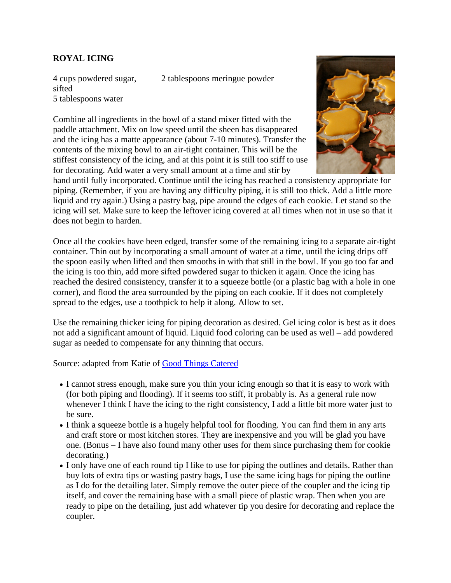#### **ROYAL ICING**

sifted

4 cups powdered sugar,

2 tablespoons meringue powder

5 tablespoons water Combine all ingredients in the bowl of a stand mixer fitted with the paddle attachment. Mix on low speed until the sheen has disappeared and the icing has a matte appearance (about 7-10 minutes). Transfer the contents of the mixing bowl to an air-tight container. This will be the stiffest consistency of the icing, and at this point it is still too stiff to use for decorating. Add water a very small amount at a time and stir by



hand until fully incorporated. Continue until the icing has reached a consistency appropriate for piping. (Remember, if you are having any difficulty piping, it is still too thick. Add a little more liquid and try again.) Using a pastry bag, pipe around the edges of each cookie. Let stand so the icing will set. Make sure to keep the leftover icing covered at all times when not in use so that it does not begin to harden.

Once all the cookies have been edged, transfer some of the remaining icing to a separate air-tight container. Thin out by incorporating a small amount of water at a time, until the icing drips off the spoon easily when lifted and then smooths in with that still in the bowl. If you go too far and the icing is too thin, add more sifted powdered sugar to thicken it again. Once the icing has reached the desired consistency, transfer it to a squeeze bottle (or a plastic bag with a hole in one corner), and flood the area surrounded by the piping on each cookie. If it does not completely spread to the edges, use a toothpick to help it along. Allow to set.

Use the remaining thicker icing for piping decoration as desired. Gel icing color is best as it does not add a significant amount of liquid. Liquid food coloring can be used as well – add powdered sugar as needed to compensate for any thinning that occurs.

Source: adapted from Katie of [Good Things Catered](http://goodthingscatered.blogspot.com/)

- I cannot stress enough, make sure you thin your icing enough so that it is easy to work with (for both piping and flooding). If it seems too stiff, it probably is. As a general rule now whenever I think I have the icing to the right consistency, I add a little bit more water just to be sure.
- I think a squeeze bottle is a hugely helpful tool for flooding. You can find them in any arts and craft store or most kitchen stores. They are inexpensive and you will be glad you have one. (Bonus – I have also found many other uses for them since purchasing them for cookie decorating.)
- I only have one of each round tip I like to use for piping the outlines and details. Rather than buy lots of extra tips or wasting pastry bags, I use the same icing bags for piping the outline as I do for the detailing later. Simply remove the outer piece of the coupler and the icing tip itself, and cover the remaining base with a small piece of plastic wrap. Then when you are ready to pipe on the detailing, just add whatever tip you desire for decorating and replace the coupler.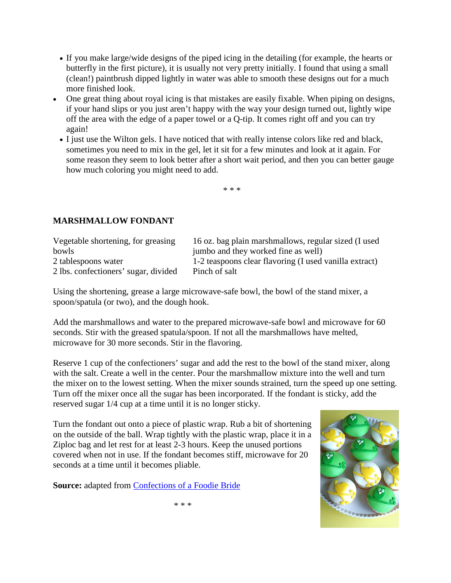- If you make large/wide designs of the piped icing in the detailing (for example, the hearts or butterfly in the first picture), it is usually not very pretty initially. I found that using a small (clean!) paintbrush dipped lightly in water was able to smooth these designs out for a much more finished look.
- One great thing about royal icing is that mistakes are easily fixable. When piping on designs, if your hand slips or you just aren't happy with the way your design turned out, lightly wipe off the area with the edge of a paper towel or a Q-tip. It comes right off and you can try again!
	- I just use the Wilton gels. I have noticed that with really intense colors like red and black, sometimes you need to mix in the gel, let it sit for a few minutes and look at it again. For some reason they seem to look better after a short wait period, and then you can better gauge how much coloring you might need to add.

\* \* \*

#### **MARSHMALLOW FONDANT**

| Vegetable shortening, for greasing   | 16 oz. bag plain marshmallows, regular sized (I used   |
|--------------------------------------|--------------------------------------------------------|
| bowls                                | jumbo and they worked fine as well)                    |
| 2 tablespoons water                  | 1-2 teaspoons clear flavoring (I used vanilla extract) |
| 2 lbs. confectioners' sugar, divided | Pinch of salt                                          |

Using the shortening, grease a large microwave-safe bowl, the bowl of the stand mixer, a spoon/spatula (or two), and the dough hook.

Add the marshmallows and water to the prepared microwave-safe bowl and microwave for 60 seconds. Stir with the greased spatula/spoon. If not all the marshmallows have melted, microwave for 30 more seconds. Stir in the flavoring.

Reserve 1 cup of the confectioners' sugar and add the rest to the bowl of the stand mixer, along with the salt. Create a well in the center. Pour the marshmallow mixture into the well and turn the mixer on to the lowest setting. When the mixer sounds strained, turn the speed up one setting. Turn off the mixer once all the sugar has been incorporated. If the fondant is sticky, add the reserved sugar 1/4 cup at a time until it is no longer sticky.

Turn the fondant out onto a piece of plastic wrap. Rub a bit of shortening on the outside of the ball. Wrap tightly with the plastic wrap, place it in a Ziploc bag and let rest for at least 2-3 hours. Keep the unused portions covered when not in use. If the fondant becomes stiff, microwave for 20 seconds at a time until it becomes pliable.

**Source:** adapted from [Confections of a Foodie Bride](http://www.jasonandshawnda.com/foodiebride/?p=718)



\* \* \*